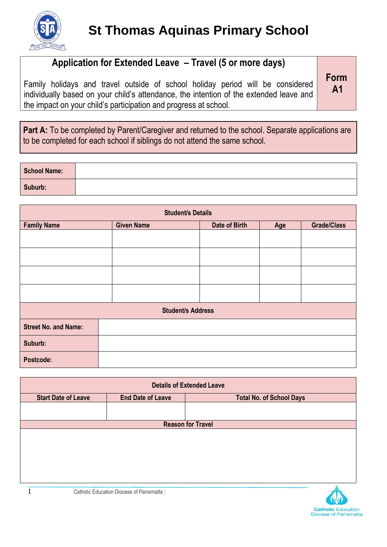

## **Application for Extended Leave – Travel (5 or more days)**

Family holidays and travel outside of school holiday period will be considered individually based on your child's attendance, the intention of the extended leave and the impact on your child's participation and progress at school.

**Form A1**

Part A: To be completed by Parent/Caregiver and returned to the school. Separate applications are to be completed for each school if siblings do not attend the same school.

| <b>School Name:</b> |  |
|---------------------|--|
| Suburb:             |  |

| <b>Student/s Details</b>    |                   |               |     |                    |
|-----------------------------|-------------------|---------------|-----|--------------------|
| <b>Family Name</b>          | <b>Given Name</b> | Date of Birth | Age | <b>Grade/Class</b> |
|                             |                   |               |     |                    |
|                             |                   |               |     |                    |
|                             |                   |               |     |                    |
|                             |                   |               |     |                    |
| <b>Student/s Address</b>    |                   |               |     |                    |
| <b>Street No. and Name:</b> |                   |               |     |                    |
| Suburb:                     |                   |               |     |                    |
| Postcode:                   |                   |               |     |                    |

| <b>Details of Extended Leave</b> |                                          |                                 |  |  |
|----------------------------------|------------------------------------------|---------------------------------|--|--|
| <b>Start Date of Leave</b>       | <b>End Date of Leave</b>                 | <b>Total No. of School Days</b> |  |  |
|                                  |                                          |                                 |  |  |
|                                  |                                          | <b>Reason for Travel</b>        |  |  |
|                                  |                                          |                                 |  |  |
|                                  |                                          |                                 |  |  |
|                                  |                                          |                                 |  |  |
|                                  |                                          |                                 |  |  |
|                                  |                                          |                                 |  |  |
|                                  | Catholic Education Diocese of Parramatta |                                 |  |  |

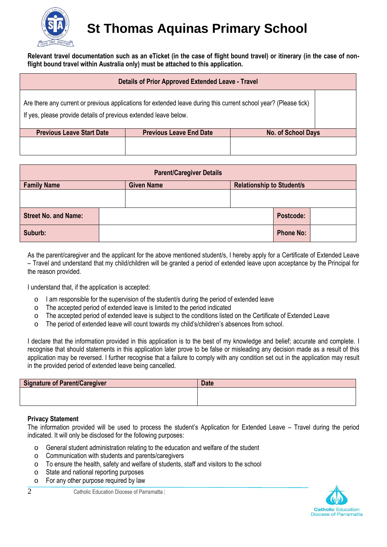

## **St Thomas Aquinas Primary School**

**Relevant travel documentation such as an eTicket (in the case of flight bound travel) or itinerary (in the case of nonflight bound travel within Australia only) must be attached to this application.**

| <b>Details of Prior Approved Extended Leave - Travel</b>                                                                                                                             |                                |                           |
|--------------------------------------------------------------------------------------------------------------------------------------------------------------------------------------|--------------------------------|---------------------------|
| Are there any current or previous applications for extended leave during this current school year? (Please tick)<br>If yes, please provide details of previous extended leave below. |                                |                           |
| <b>Previous Leave Start Date</b>                                                                                                                                                     | <b>Previous Leave End Date</b> | <b>No. of School Days</b> |
|                                                                                                                                                                                      |                                |                           |

| <b>Parent/Caregiver Details</b> |  |                   |  |                                  |  |  |
|---------------------------------|--|-------------------|--|----------------------------------|--|--|
| <b>Family Name</b>              |  | <b>Given Name</b> |  | <b>Relationship to Student/s</b> |  |  |
|                                 |  |                   |  |                                  |  |  |
| <b>Street No. and Name:</b>     |  |                   |  | Postcode:                        |  |  |
| Suburb:                         |  |                   |  | <b>Phone No:</b>                 |  |  |

As the parent/caregiver and the applicant for the above mentioned student/s, I hereby apply for a Certificate of Extended Leave – Travel and understand that my child/children will be granted a period of extended leave upon acceptance by the Principal for the reason provided.

I understand that, if the application is accepted:

- o I am responsible for the supervision of the student/s during the period of extended leave
- o The accepted period of extended leave is limited to the period indicated
- o The accepted period of extended leave is subject to the conditions listed on the Certificate of Extended Leave
- o The period of extended leave will count towards my child's/children's absences from school.

I declare that the information provided in this application is to the best of my knowledge and belief; accurate and complete. I recognise that should statements in this application later prove to be false or misleading any decision made as a result of this application may be reversed. I further recognise that a failure to comply with any condition set out in the application may result in the provided period of extended leave being cancelled.

| <b>Signature of Parent/Caregiver</b> | <b>Date</b> |
|--------------------------------------|-------------|
|                                      |             |
|                                      |             |

## **Privacy Statement**

The information provided will be used to process the student's Application for Extended Leave – Travel during the period indicated. It will only be disclosed for the following purposes:

- o General student administration relating to the education and welfare of the student
- o Communication with students and parents/caregivers
- o To ensure the health, safety and welfare of students, staff and visitors to the school
- o State and national reporting purposes
- o For any other purpose required by law